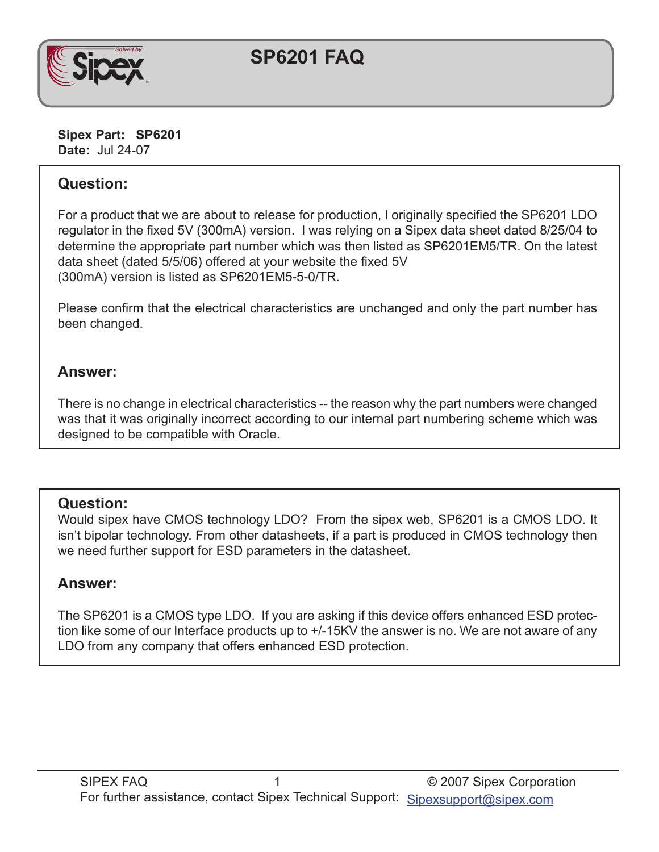

# **SP6201 FAQ**

**Sipex Part: SP6201 Date:** Jul 24-07

## **Question:**

For a product that we are about to release for production, I originally specified the SP6201 LDO regulator in the fixed 5V (300mA) version. I was relying on a Sipex data sheet dated 8/25/04 to determine the appropriate part number which was then listed as SP6201EM5/TR. On the latest data sheet (dated 5/5/06) offered at your website the fixed 5V (300mA) version is listed as SP6201EM5-5-0/TR.

Please confirm that the electrical characteristics are unchanged and only the part number has been changed.

#### **Answer:**

There is no change in electrical characteristics -- the reason why the part numbers were changed was that it was originally incorrect according to our internal part numbering scheme which was designed to be compatible with Oracle.

#### **Question:**

Would sipex have CMOS technology LDO? From the sipex web, SP6201 is a CMOS LDO. It isn't bipolar technology. From other datasheets, if a part is produced in CMOS technology then we need further support for ESD parameters in the datasheet.

## **Answer:**

The SP6201 is a CMOS type LDO. If you are asking if this device offers enhanced ESD protection like some of our Interface products up to +/-15KV the answer is no. We are not aware of any LDO from any company that offers enhanced ESD protection.